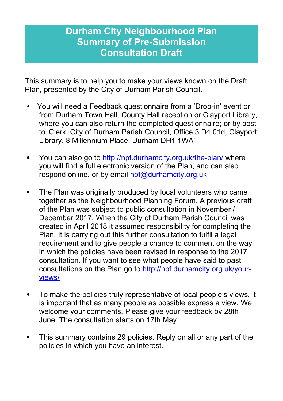# **Durham City Neighbourhood Plan Summary of Pre-Submission Consultation Draft**

This summary is to help you to make your views known on the Draft Plan, presented by the City of Durham Parish Council.

- You will need a Feedback questionnaire from a 'Drop-in' event or from Durham Town Hall, County Hall reception or Clayport Library, where you can also return the completed questionnaire; or by post to 'Clerk, City of Durham Parish Council, Office 3 D4.01d, Clayport Library, 8 Millennium Place, Durham DH1 1WA'
- You can also go to http://npf.durhamcity.org.uk/the-plan/ where you will find a full electronic version of the Plan, and can also respond online, or by email [npf@durhamcity.org.uk](mailto:npf@durhamcity.org.uk)
- The Plan was originally produced by local volunteers who came together as the Neighbourhood Planning Forum. A previous draft of the Plan was subject to public consultation in November / December 2017. When the City of Durham Parish Council was created in April 2018 it assumed responsibility for completing the Plan. It is carrying out this further consultation to fulfil a legal requirement and to give people a chance to comment on the way in which the policies have been revised in response to the 2017 consultation. If you want to see what people have said to past consultations on the Plan go to http://npf.durhamcity.org.uk/yourviews/
- To make the policies truly representative of local people's views, it is important that as many people as possible express a view. We welcome your comments. Please give your feedback by 28th June. The consultation starts on 17th May.
- This summary contains 29 policies. Reply on all or any part of the policies in which you have an interest.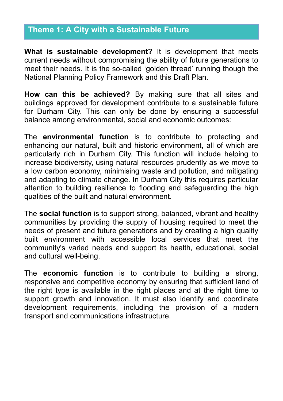## **Theme 1: A City with a Sustainable Future**

**What is sustainable development?** It is development that meets current needs without compromising the ability of future generations to meet their needs. It is the so-called 'golden thread' running though the National Planning Policy Framework and this Draft Plan.

**How can this be achieved?** By making sure that all sites and buildings approved for development contribute to a sustainable future for Durham City. This can only be done by ensuring a successful balance among environmental, social and economic outcomes:

The **environmental function** is to contribute to protecting and enhancing our natural, built and historic environment, all of which are particularly rich in Durham City. This function will include helping to increase biodiversity, using natural resources prudently as we move to a low carbon economy, minimising waste and pollution, and mitigating and adapting to climate change. In Durham City this requires particular attention to building resilience to flooding and safeguarding the high qualities of the built and natural environment.

The **social function** is to support strong, balanced, vibrant and healthy communities by providing the supply of housing required to meet the needs of present and future generations and by creating a high quality built environment with accessible local services that meet the community's varied needs and support its health, educational, social and cultural well-being.

The **economic function** is to contribute to building a strong, responsive and competitive economy by ensuring that sufficient land of the right type is available in the right places and at the right time to support growth and innovation. It must also identify and coordinate development requirements, including the provision of a modern transport and communications infrastructure.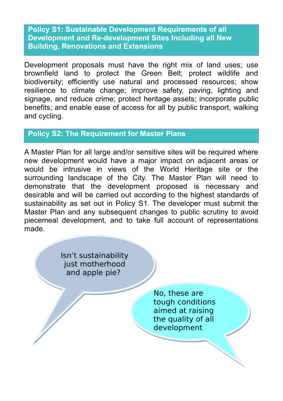**Policy S1: Sustainable Development Requirements of all Development and Re-development Sites Including all New Building, Renovations and Extensions**

Development proposals must have the right mix of land uses; use brownfield land to protect the Green Belt; protect wildlife and biodiversity; efficiently use natural and processed resources; show resilience to climate change; improve safety, paving, lighting and signage, and reduce crime; protect heritage assets; incorporate public benefits; and enable ease of access for all by public transport, walking and cycling.

## **Policy S2: The Requirement for Master Plans**

A Master Plan for all large and/or sensitive sites will be required where new development would have a major impact on adjacent areas or would be intrusive in views of the World Heritage site or the surrounding landscape of the City. The Master Plan will need to demonstrate that the development proposed is necessary and desirable and will be carried out according to the highest standards of sustainability as set out in Policy S1. The developer must submit the Master Plan and any subsequent changes to public scrutiny to avoid piecemeal development, and to take full account of representations made.

> Isn't sustainability Isn't sustainability just motherhood just motherhood and apple pie? and apple pie?

> > No, these are No, these are tough conditions tough conditions aimed at raising aimed at raising the quality of all the quality of all development development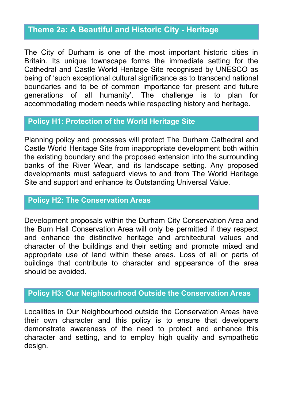## **Theme 2a: A Beautiful and Historic City - Heritage**

The City of Durham is one of the most important historic cities in Britain. Its unique townscape forms the immediate setting for the Cathedral and Castle World Heritage Site recognised by UNESCO as being of 'such exceptional cultural significance as to transcend national boundaries and to be of common importance for present and future generations of all humanity'. The challenge is to plan for accommodating modern needs while respecting history and heritage.

#### **Policy H1: Protection of the World Heritage Site**

Planning policy and processes will protect The Durham Cathedral and Castle World Heritage Site from inappropriate development both within the existing boundary and the proposed extension into the surrounding banks of the River Wear, and its landscape setting. Any proposed developments must safeguard views to and from The World Heritage Site and support and enhance its Outstanding Universal Value.

#### **Policy H2: The Conservation Areas**

Development proposals within the Durham City Conservation Area and the Burn Hall Conservation Area will only be permitted if they respect and enhance the distinctive heritage and architectural values and character of the buildings and their setting and promote mixed and appropriate use of land within these areas. Loss of all or parts of buildings that contribute to character and appearance of the area should be avoided.

## **Policy H3: Our Neighbourhood Outside the Conservation Areas**

Localities in Our Neighbourhood outside the Conservation Areas have their own character and this policy is to ensure that developers demonstrate awareness of the need to protect and enhance this character and setting, and to employ high quality and sympathetic design.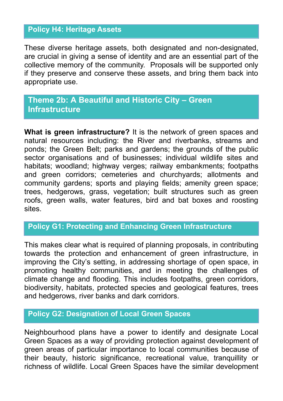## **Policy H4: Heritage Assets**

These diverse heritage assets, both designated and non-designated, are crucial in giving a sense of identity and are an essential part of the collective memory of the community. Proposals will be supported only if they preserve and conserve these assets, and bring them back into appropriate use.

## **Theme 2b: A Beautiful and Historic City – Green Infrastructure**

**What is green infrastructure?** It is the network of green spaces and natural resources including: the River and riverbanks, streams and ponds; the Green Belt; parks and gardens; the grounds of the public sector organisations and of businesses; individual wildlife sites and habitats; woodland; highway verges; railway embankments; footpaths and green corridors; cemeteries and churchyards; allotments and community gardens; sports and playing fields; amenity green space; trees, hedgerows, grass, vegetation; built structures such as green roofs, green walls, water features, bird and bat boxes and roosting sites.

## **Policy G1: Protecting and Enhancing Green Infrastructure**

This makes clear what is required of planning proposals, in contributing towards the protection and enhancement of green infrastructure, in improving the City's setting, in addressing shortage of open space, in promoting healthy communities, and in meeting the challenges of climate change and flooding. This includes footpaths, green corridors, biodiversity, habitats, protected species and geological features, trees and hedgerows, river banks and dark corridors.

#### **Policy G2: Designation of Local Green Spaces**

Neighbourhood plans have a power to identify and designate Local Green Spaces as a way of providing protection against development of green areas of particular importance to local communities because of their beauty, historic significance, recreational value, tranquillity or richness of wildlife. Local Green Spaces have the similar development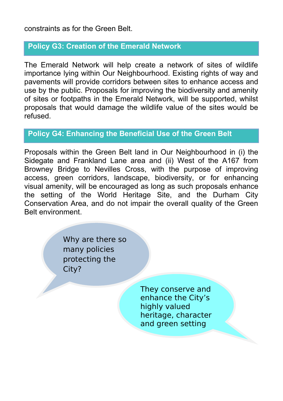#### constraints as for the Green Belt.

#### **Policy G3: Creation of the Emerald Network**

The Emerald Network will help create a network of sites of wildlife importance lying within Our Neighbourhood. Existing rights of way and pavements will provide corridors between sites to enhance access and use by the public. Proposals for improving the biodiversity and amenity of sites or footpaths in the Emerald Network, will be supported, whilst proposals that would damage the wildlife value of the sites would be refused.

#### **Policy G4: Enhancing the Beneficial Use of the Green Belt**

Proposals within the Green Belt land in Our Neighbourhood in (i) the Sidegate and Frankland Lane area and (ii) West of the A167 from Browney Bridge to Nevilles Cross, with the purpose of improving access, green corridors, landscape, biodiversity, or for enhancing visual amenity, will be encouraged as long as such proposals enhance the setting of the World Heritage Site, and the Durham City Conservation Area, and do not impair the overall quality of the Green Belt environment.

> Why are there so many policies protecting the City?

> > They conserve and enhance the City's highly valued heritage, character and green setting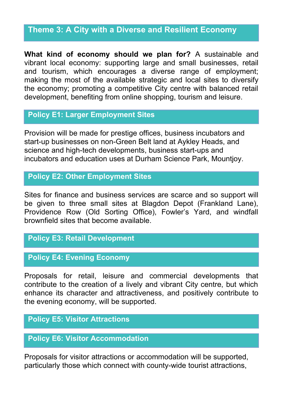## **Theme 3: A City with a Diverse and Resilient Economy**

**What kind of economy should we plan for?** A sustainable and vibrant local economy: supporting large and small businesses, retail and tourism, which encourages a diverse range of employment; making the most of the available strategic and local sites to diversify the economy; promoting a competitive City centre with balanced retail development, benefiting from online shopping, tourism and leisure.

#### **Policy E1: Larger Employment Sites**

Provision will be made for prestige offices, business incubators and start-up businesses on non-Green Belt land at Aykley Heads, and science and high-tech developments, business start-ups and incubators and education uses at Durham Science Park, Mountjoy.

### **Policy E2: Other Employment Sites**

Sites for finance and business services are scarce and so support will be given to three small sites at Blagdon Depot (Frankland Lane), Providence Row (Old Sorting Office), Fowler's Yard, and windfall brownfield sites that become available.

#### **Policy E3: Retail Development**

#### **Policy E4: Evening Economy**

Proposals for retail, leisure and commercial developments that contribute to the creation of a lively and vibrant City centre, but which enhance its character and attractiveness, and positively contribute to the evening economy, will be supported.

#### **Policy E5: Visitor Attractions**

### **Policy E6: Visitor Accommodation**

Proposals for visitor attractions or accommodation will be supported, particularly those which connect with county-wide tourist attractions,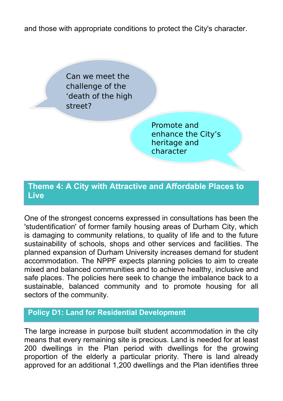and those with appropriate conditions to protect the City's character.

Can we meet the challenge of the 'death of the high street?

> Promote and enhance the City's heritage and character

## **Theme 4: A City with Attractive and Affordable Places to Live**

One of the strongest concerns expressed in consultations has been the 'studentification' of former family housing areas of Durham City, which is damaging to community relations, to quality of life and to the future sustainability of schools, shops and other services and facilities. The planned expansion of Durham University increases demand for student accommodation. The NPPF expects planning policies to aim to create mixed and balanced communities and to achieve healthy, inclusive and safe places. The policies here seek to change the imbalance back to a sustainable, balanced community and to promote housing for all sectors of the community.

## **Policy D1: Land for Residential Development**

The large increase in purpose built student accommodation in the city means that every remaining site is precious. Land is needed for at least 200 dwellings in the Plan period with dwellings for the growing proportion of the elderly a particular priority. There is land already approved for an additional 1,200 dwellings and the Plan identifies three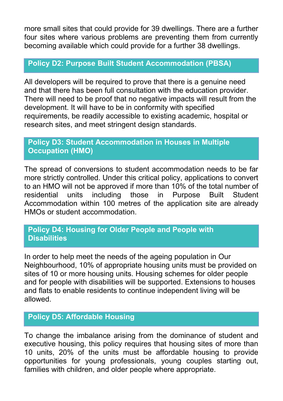more small sites that could provide for 39 dwellings. There are a further four sites where various problems are preventing them from currently becoming available which could provide for a further 38 dwellings.

#### **Policy D2: Purpose Built Student Accommodation (PBSA)**

All developers will be required to prove that there is a genuine need and that there has been full consultation with the education provider. There will need to be proof that no negative impacts will result from the development. It will have to be in conformity with specified requirements, be readily accessible to existing academic, hospital or research sites, and meet stringent design standards.

### **Policy D3: Student Accommodation in Houses in Multiple Occupation (HMO)**

The spread of conversions to student accommodation needs to be far more strictly controlled. Under this critical policy, applications to convert to an HMO will not be approved if more than 10% of the total number of residential units including those in Purpose Built Student Accommodation within 100 metres of the application site are already HMOs or student accommodation.

### **Policy D4: Housing for Older People and People with Disabilities**

In order to help meet the needs of the ageing population in Our Neighbourhood, 10% of appropriate housing units must be provided on sites of 10 or more housing units. Housing schemes for older people and for people with disabilities will be supported. Extensions to houses and flats to enable residents to continue independent living will be allowed.

## **Policy D5: Affordable Housing**

To change the imbalance arising from the dominance of student and executive housing, this policy requires that housing sites of more than 10 units, 20% of the units must be affordable housing to provide opportunities for young professionals, young couples starting out, families with children, and older people where appropriate.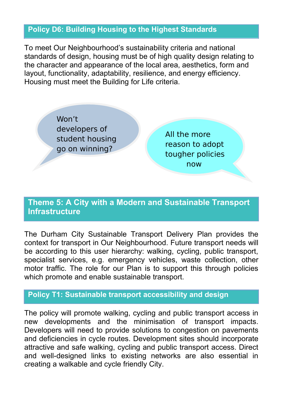### **Policy D6: Building Housing to the Highest Standards**

To meet Our Neighbourhood's sustainability criteria and national standards of design, housing must be of high quality design relating to the character and appearance of the local area, aesthetics, form and layout, functionality, adaptability, resilience, and energy efficiency. Housing must meet the Building for Life criteria.

> Won't developers of student housing go on winning?

All the more reason to adopt tougher policies now

## **Theme 5: A City with a Modern and Sustainable Transport Infrastructure**

The Durham City Sustainable Transport Delivery Plan provides the context for transport in Our Neighbourhood. Future transport needs will be according to this user hierarchy: walking, cycling, public transport, specialist services, e.g. emergency vehicles, waste collection, other motor traffic. The role for our Plan is to support this through policies which promote and enable sustainable transport.

#### **Policy T1: Sustainable transport accessibility and design**

The policy will promote walking, cycling and public transport access in new developments and the minimisation of transport impacts. Developers will need to provide solutions to congestion on pavements and deficiencies in cycle routes. Development sites should incorporate attractive and safe walking, cycling and public transport access. Direct and well-designed links to existing networks are also essential in creating a walkable and cycle friendly City.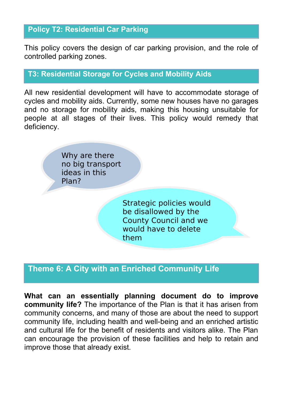## **Policy T2: Residential Car Parking**

This policy covers the design of car parking provision, and the role of controlled parking zones.

### **T3: Residential Storage for Cycles and Mobility Aids**

All new residential development will have to accommodate storage of cycles and mobility aids. Currently, some new houses have no garages and no storage for mobility aids, making this housing unsuitable for people at all stages of their lives. This policy would remedy that deficiency.

> Why are there no big transport ideas in this Plan?

> > Strategic policies would be disallowed by the County Council and we would have to delete them

## **Theme 6: A City with an Enriched Community Life**

**What can an essentially planning document do to improve community life?** The importance of the Plan is that it has arisen from community concerns, and many of those are about the need to support community life, including health and well-being and an enriched artistic and cultural life for the benefit of residents and visitors alike. The Plan can encourage the provision of these facilities and help to retain and improve those that already exist.